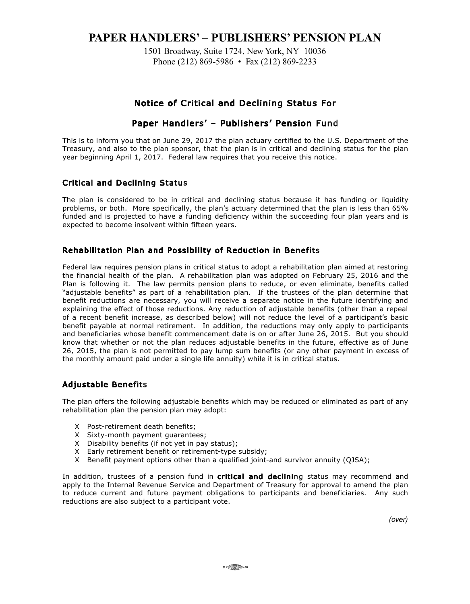# **PAPER HANDLERS' – PUBLISHERS' PENSION PLAN**

1501 Broadway, Suite 1724, New York, NY 10036 Phone (212) 869-5986 • Fax (212) 869-2233

### Notice of Critical and Declining Status For

## Paper Handlers' – Publishers' Pension Fund

This is to inform you that on June 29, 2017 the plan actuary certified to the U.S. Department of the Treasury, and also to the plan sponsor, that the plan is in critical and declining status for the plan year beginning April 1, 2017. Federal law requires that you receive this notice.

#### Critical and Declining Status

The plan is considered to be in critical and declining status because it has funding or liquidity problems, or both. More specifically, the plan's actuary determined that the plan is less than 65% funded and is projected to have a funding deficiency within the succeeding four plan years and is expected to become insolvent within fifteen years.

#### Rehabilitation Plan and Possibility of Reduction in Benefits

Federal law requires pension plans in critical status to adopt a rehabilitation plan aimed at restoring the financial health of the plan. A rehabilitation plan was adopted on February 25, 2016 and the Plan is following it. The law permits pension plans to reduce, or even eliminate, benefits called "adjustable benefits" as part of a rehabilitation plan. If the trustees of the plan determine that benefit reductions are necessary, you will receive a separate notice in the future identifying and explaining the effect of those reductions. Any reduction of adjustable benefits (other than a repeal of a recent benefit increase, as described below) will not reduce the level of a participant's basic benefit payable at normal retirement. In addition, the reductions may only apply to participants and beneficiaries whose benefit commencement date is on or after June 26, 2015. But you should know that whether or not the plan reduces adjustable benefits in the future, effective as of June 26, 2015, the plan is not permitted to pay lump sum benefits (or any other payment in excess of the monthly amount paid under a single life annuity) while it is in critical status.

### Adjustable Benefits

The plan offers the following adjustable benefits which may be reduced or eliminated as part of any rehabilitation plan the pension plan may adopt:

- X Post-retirement death benefits;
- X Sixty-month payment guarantees;
- X Disability benefits (if not yet in pay status);
- X Early retirement benefit or retirement-type subsidy;
- X Benefit payment options other than a qualified joint-and survivor annuity (QJSA);

In addition, trustees of a pension fund in critical and declining status may recommend and apply to the Internal Revenue Service and Department of Treasury for approval to amend the plan to reduce current and future payment obligations to participants and beneficiaries. Any such reductions are also subject to a participant vote.

*(over)*